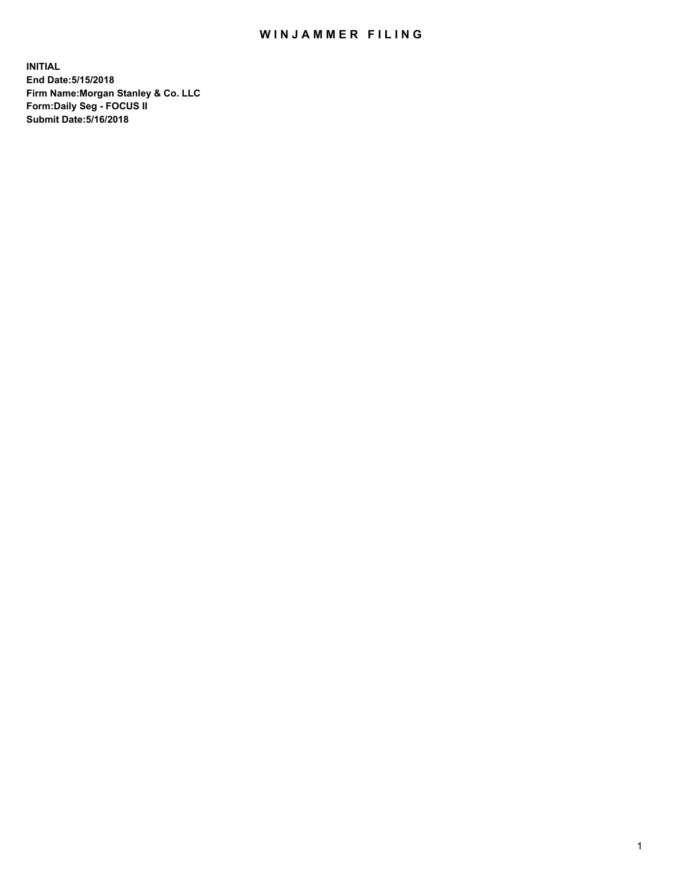## WIN JAMMER FILING

**INITIAL End Date:5/15/2018 Firm Name:Morgan Stanley & Co. LLC Form:Daily Seg - FOCUS II Submit Date:5/16/2018**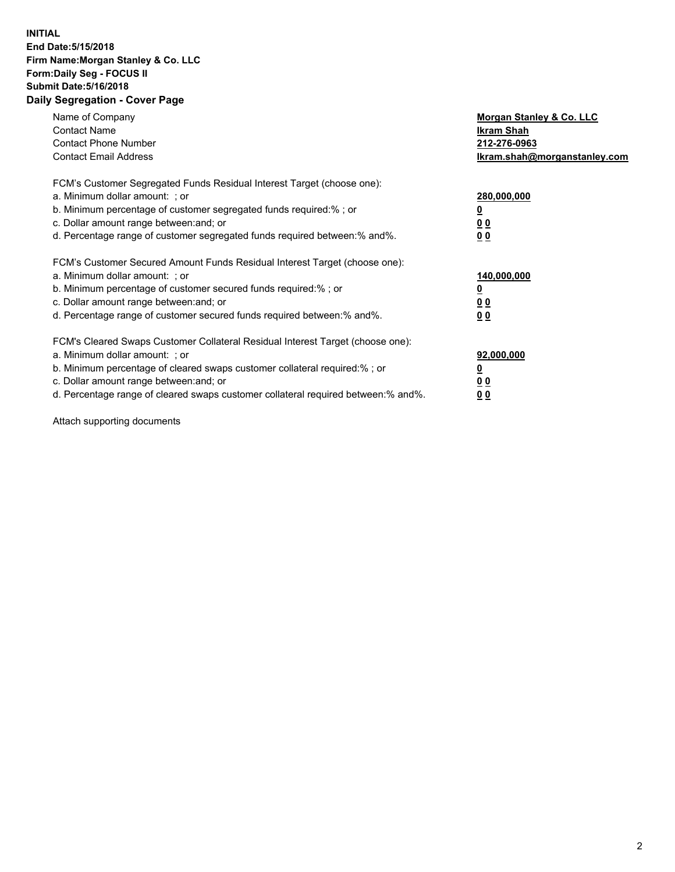## **INITIAL End Date:5/15/2018 Firm Name:Morgan Stanley & Co. LLC Form:Daily Seg - FOCUS II Submit Date:5/16/2018 Daily Segregation - Cover Page**

| Name of Company<br><b>Contact Name</b><br><b>Contact Phone Number</b><br><b>Contact Email Address</b>                                                                                                                                                                                                                         | Morgan Stanley & Co. LLC<br>Ikram Shah<br>212-276-0963<br>lkram.shah@morganstanley.com |
|-------------------------------------------------------------------------------------------------------------------------------------------------------------------------------------------------------------------------------------------------------------------------------------------------------------------------------|----------------------------------------------------------------------------------------|
| FCM's Customer Segregated Funds Residual Interest Target (choose one):<br>a. Minimum dollar amount: ; or<br>b. Minimum percentage of customer segregated funds required:%; or<br>c. Dollar amount range between: and; or<br>d. Percentage range of customer segregated funds required between:% and%.                         | 280,000,000<br>00<br>00                                                                |
| FCM's Customer Secured Amount Funds Residual Interest Target (choose one):<br>a. Minimum dollar amount: ; or<br>b. Minimum percentage of customer secured funds required:%; or<br>c. Dollar amount range between: and; or<br>d. Percentage range of customer secured funds required between:% and%.                           | 140,000,000<br>0 <sub>0</sub><br>0 <sub>0</sub>                                        |
| FCM's Cleared Swaps Customer Collateral Residual Interest Target (choose one):<br>a. Minimum dollar amount: ; or<br>b. Minimum percentage of cleared swaps customer collateral required:%; or<br>c. Dollar amount range between: and; or<br>d. Percentage range of cleared swaps customer collateral required between:% and%. | 92,000,000<br>0 <sub>0</sub><br><u>00</u>                                              |

Attach supporting documents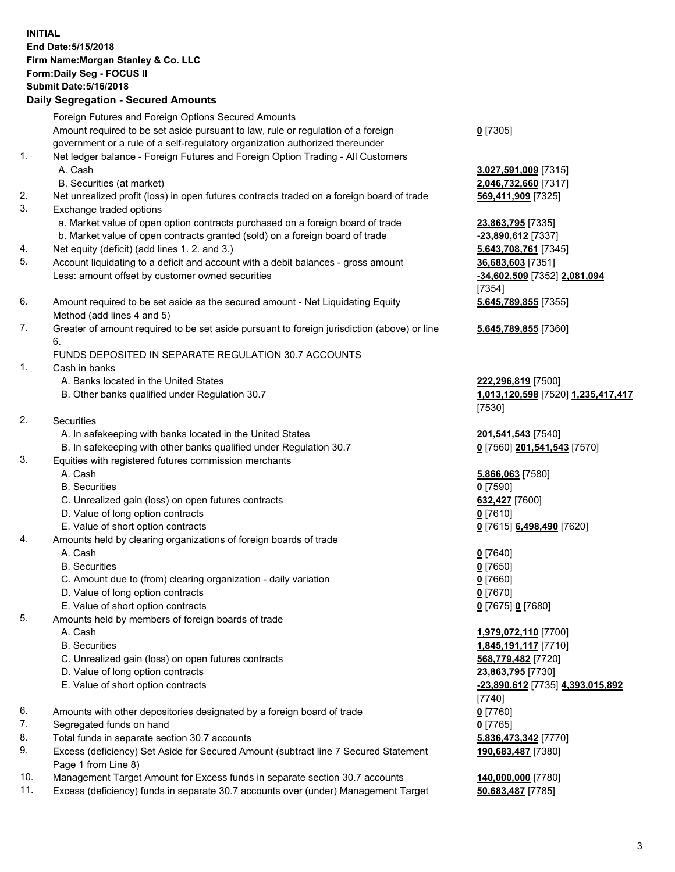## **INITIAL End Date:5/15/2018 Firm Name:Morgan Stanley & Co. LLC Form:Daily Seg - FOCUS II Submit Date:5/16/2018 Daily Segregation - Secured Amounts**

Foreign Futures and Foreign Options Secured Amounts Amount required to be set aside pursuant to law, rule or regulation of a foreign

- government or a rule of a self-regulatory organization authorized thereunder
- 1. Net ledger balance Foreign Futures and Foreign Option Trading All Customers A. Cash **3,027,591,009** [7315]
	- B. Securities (at market) **2,046,732,660** [7317]
- 2. Net unrealized profit (loss) in open futures contracts traded on a foreign board of trade **569,411,909** [7325]
- 3. Exchange traded options
	- a. Market value of open option contracts purchased on a foreign board of trade **23,863,795** [7335]
	- b. Market value of open contracts granted (sold) on a foreign board of trade **-23,890,612** [7337]
- 4. Net equity (deficit) (add lines 1. 2. and 3.) **5,643,708,761** [7345]
- 5. Account liquidating to a deficit and account with a debit balances gross amount **36,683,603** [7351] Less: amount offset by customer owned securities **-34,602,509** [7352] **2,081,094**
- 6. Amount required to be set aside as the secured amount Net Liquidating Equity Method (add lines 4 and 5)
- 7. Greater of amount required to be set aside pursuant to foreign jurisdiction (above) or line 6.

## FUNDS DEPOSITED IN SEPARATE REGULATION 30.7 ACCOUNTS

- 1. Cash in banks
	- A. Banks located in the United States **222,296,819** [7500]
	- B. Other banks qualified under Regulation 30.7 **1,013,120,598** [7520] **1,235,417,417**
- 2. Securities
	- A. In safekeeping with banks located in the United States **201,541,543** [7540]
	- B. In safekeeping with other banks qualified under Regulation 30.7 **0** [7560] **201,541,543** [7570]
- 3. Equities with registered futures commission merchants
	-
	-
	- C. Unrealized gain (loss) on open futures contracts **632,427** [7600]
	- D. Value of long option contracts **0** [7610]
- E. Value of short option contracts **0** [7615] **6,498,490** [7620]
- 4. Amounts held by clearing organizations of foreign boards of trade
	-
	-
	- C. Amount due to (from) clearing organization daily variation **0** [7660]
	- D. Value of long option contracts **0** [7670]
	- E. Value of short option contracts **0** [7675] **0** [7680]
- 5. Amounts held by members of foreign boards of trade
	-
	-
	- C. Unrealized gain (loss) on open futures contracts **568,779,482** [7720]
	- D. Value of long option contracts **23,863,795** [7730]
	- E. Value of short option contracts **-23,890,612** [7735] **4,393,015,892**
- 6. Amounts with other depositories designated by a foreign board of trade **0** [7760]
- 7. Segregated funds on hand **0** [7765]
- 8. Total funds in separate section 30.7 accounts **5,836,473,342** [7770]
- 9. Excess (deficiency) Set Aside for Secured Amount (subtract line 7 Secured Statement Page 1 from Line 8)
- 10. Management Target Amount for Excess funds in separate section 30.7 accounts **140,000,000** [7780]
- 11. Excess (deficiency) funds in separate 30.7 accounts over (under) Management Target **50,683,487** [7785]

**0** [7305]

[7354] **5,645,789,855** [7355]

**5,645,789,855** [7360]

[7530]

 A. Cash **5,866,063** [7580] B. Securities **0** [7590]

 A. Cash **0** [7640] B. Securities **0** [7650]

 A. Cash **1,979,072,110** [7700] B. Securities **1,845,191,117** [7710] [7740] **190,683,487** [7380]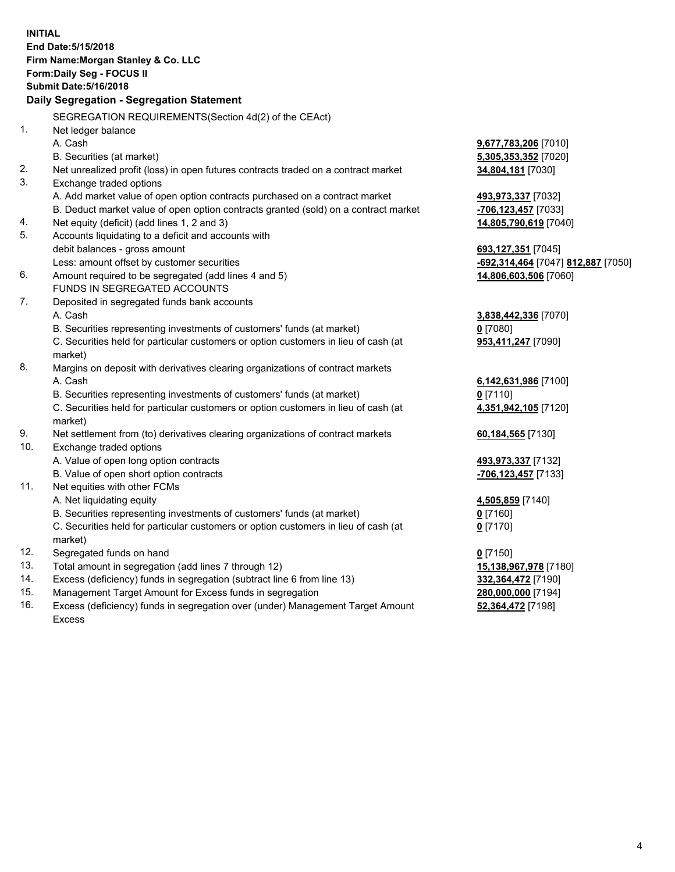**INITIAL End Date:5/15/2018 Firm Name:Morgan Stanley & Co. LLC Form:Daily Seg - FOCUS II Submit Date:5/16/2018 Daily Segregation - Segregation Statement** SEGREGATION REQUIREMENTS(Section 4d(2) of the CEAct) 1. Net ledger balance A. Cash **9,677,783,206** [7010] B. Securities (at market) **5,305,353,352** [7020] 2. Net unrealized profit (loss) in open futures contracts traded on a contract market **34,804,181** [7030] 3. Exchange traded options A. Add market value of open option contracts purchased on a contract market **493,973,337** [7032] B. Deduct market value of open option contracts granted (sold) on a contract market **-706,123,457** [7033] 4. Net equity (deficit) (add lines 1, 2 and 3) **14,805,790,619** [7040] 5. Accounts liquidating to a deficit and accounts with debit balances - gross amount **693,127,351** [7045] Less: amount offset by customer securities **-692,314,464** [7047] **812,887** [7050] 6. Amount required to be segregated (add lines 4 and 5) **14,806,603,506** [7060] FUNDS IN SEGREGATED ACCOUNTS 7. Deposited in segregated funds bank accounts A. Cash **3,838,442,336** [7070] B. Securities representing investments of customers' funds (at market) **0** [7080] C. Securities held for particular customers or option customers in lieu of cash (at market) **953,411,247** [7090] 8. Margins on deposit with derivatives clearing organizations of contract markets A. Cash **6,142,631,986** [7100] B. Securities representing investments of customers' funds (at market) **0** [7110] C. Securities held for particular customers or option customers in lieu of cash (at market) **4,351,942,105** [7120] 9. Net settlement from (to) derivatives clearing organizations of contract markets **60,184,565** [7130] 10. Exchange traded options A. Value of open long option contracts **493,973,337** [7132] B. Value of open short option contracts **-706,123,457** [7133] 11. Net equities with other FCMs A. Net liquidating equity **4,505,859** [7140] B. Securities representing investments of customers' funds (at market) **0** [7160] C. Securities held for particular customers or option customers in lieu of cash (at market) **0** [7170] 12. Segregated funds on hand **0** [7150] 13. Total amount in segregation (add lines 7 through 12) **15,138,967,978** [7180] 14. Excess (deficiency) funds in segregation (subtract line 6 from line 13) **332,364,472** [7190] 15. Management Target Amount for Excess funds in segregation **280,000,000** [7194] **52,364,472** [7198]

16. Excess (deficiency) funds in segregation over (under) Management Target Amount Excess